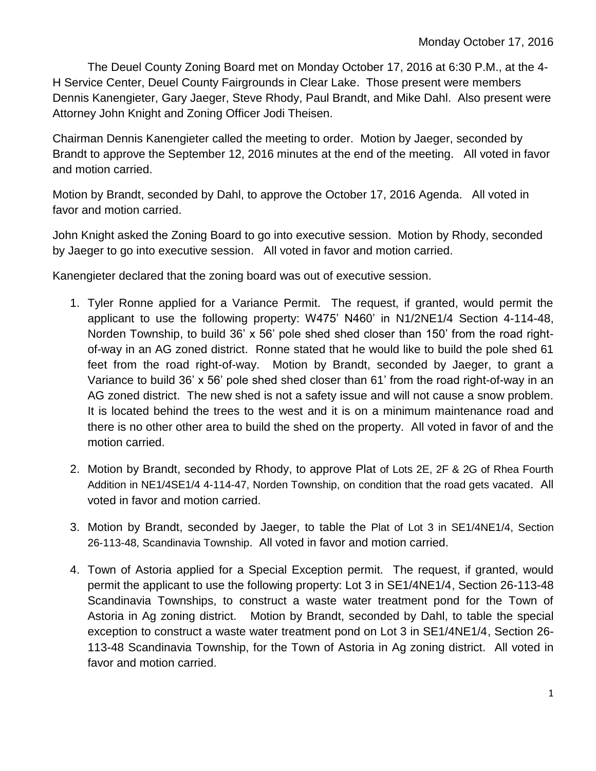The Deuel County Zoning Board met on Monday October 17, 2016 at 6:30 P.M., at the 4- H Service Center, Deuel County Fairgrounds in Clear Lake. Those present were members Dennis Kanengieter, Gary Jaeger, Steve Rhody, Paul Brandt, and Mike Dahl. Also present were Attorney John Knight and Zoning Officer Jodi Theisen.

Chairman Dennis Kanengieter called the meeting to order. Motion by Jaeger, seconded by Brandt to approve the September 12, 2016 minutes at the end of the meeting. All voted in favor and motion carried.

Motion by Brandt, seconded by Dahl, to approve the October 17, 2016 Agenda. All voted in favor and motion carried.

John Knight asked the Zoning Board to go into executive session. Motion by Rhody, seconded by Jaeger to go into executive session. All voted in favor and motion carried.

Kanengieter declared that the zoning board was out of executive session.

- 1. Tyler Ronne applied for a Variance Permit. The request, if granted, would permit the applicant to use the following property: W475' N460' in N1/2NE1/4 Section 4-114-48, Norden Township, to build 36' x 56' pole shed shed closer than 150' from the road rightof-way in an AG zoned district. Ronne stated that he would like to build the pole shed 61 feet from the road right-of-way. Motion by Brandt, seconded by Jaeger, to grant a Variance to build 36' x 56' pole shed shed closer than 61' from the road right-of-way in an AG zoned district. The new shed is not a safety issue and will not cause a snow problem. It is located behind the trees to the west and it is on a minimum maintenance road and there is no other other area to build the shed on the property. All voted in favor of and the motion carried.
- 2. Motion by Brandt, seconded by Rhody, to approve Plat of Lots 2E, 2F & 2G of Rhea Fourth Addition in NE1/4SE1/4 4-114-47, Norden Township, on condition that the road gets vacated. All voted in favor and motion carried.
- 3. Motion by Brandt, seconded by Jaeger, to table the Plat of Lot 3 in SE1/4NE1/4, Section 26-113-48, Scandinavia Township. All voted in favor and motion carried.
- 4. Town of Astoria applied for a Special Exception permit. The request, if granted, would permit the applicant to use the following property: Lot 3 in SE1/4NE1/4, Section 26-113-48 Scandinavia Townships, to construct a waste water treatment pond for the Town of Astoria in Ag zoning district. Motion by Brandt, seconded by Dahl, to table the special exception to construct a waste water treatment pond on Lot 3 in SE1/4NE1/4, Section 26- 113-48 Scandinavia Township, for the Town of Astoria in Ag zoning district. All voted in favor and motion carried.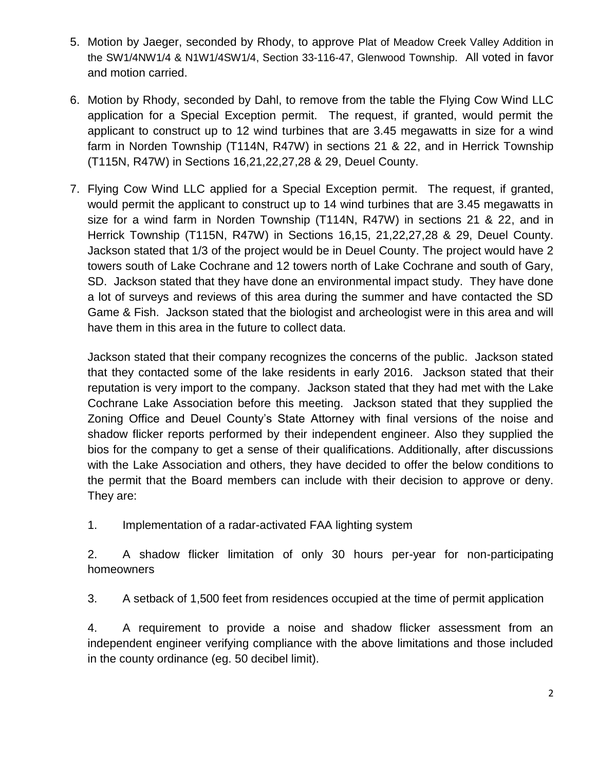- 5. Motion by Jaeger, seconded by Rhody, to approve Plat of Meadow Creek Valley Addition in the SW1/4NW1/4 & N1W1/4SW1/4, Section 33-116-47, Glenwood Township. All voted in favor and motion carried.
- 6. Motion by Rhody, seconded by Dahl, to remove from the table the Flying Cow Wind LLC application for a Special Exception permit. The request, if granted, would permit the applicant to construct up to 12 wind turbines that are 3.45 megawatts in size for a wind farm in Norden Township (T114N, R47W) in sections 21 & 22, and in Herrick Township (T115N, R47W) in Sections 16,21,22,27,28 & 29, Deuel County.
- 7. Flying Cow Wind LLC applied for a Special Exception permit. The request, if granted, would permit the applicant to construct up to 14 wind turbines that are 3.45 megawatts in size for a wind farm in Norden Township (T114N, R47W) in sections 21 & 22, and in Herrick Township (T115N, R47W) in Sections 16,15, 21,22,27,28 & 29, Deuel County. Jackson stated that 1/3 of the project would be in Deuel County. The project would have 2 towers south of Lake Cochrane and 12 towers north of Lake Cochrane and south of Gary, SD. Jackson stated that they have done an environmental impact study. They have done a lot of surveys and reviews of this area during the summer and have contacted the SD Game & Fish. Jackson stated that the biologist and archeologist were in this area and will have them in this area in the future to collect data.

Jackson stated that their company recognizes the concerns of the public. Jackson stated that they contacted some of the lake residents in early 2016. Jackson stated that their reputation is very import to the company. Jackson stated that they had met with the Lake Cochrane Lake Association before this meeting. Jackson stated that they supplied the Zoning Office and Deuel County's State Attorney with final versions of the noise and shadow flicker reports performed by their independent engineer. Also they supplied the bios for the company to get a sense of their qualifications. Additionally, after discussions with the Lake Association and others, they have decided to offer the below conditions to the permit that the Board members can include with their decision to approve or deny. They are:

1. Implementation of a radar-activated FAA lighting system

2. A shadow flicker limitation of only 30 hours per-year for non-participating homeowners

3. A setback of 1,500 feet from residences occupied at the time of permit application

4. A requirement to provide a noise and shadow flicker assessment from an independent engineer verifying compliance with the above limitations and those included in the county ordinance (eg. 50 decibel limit).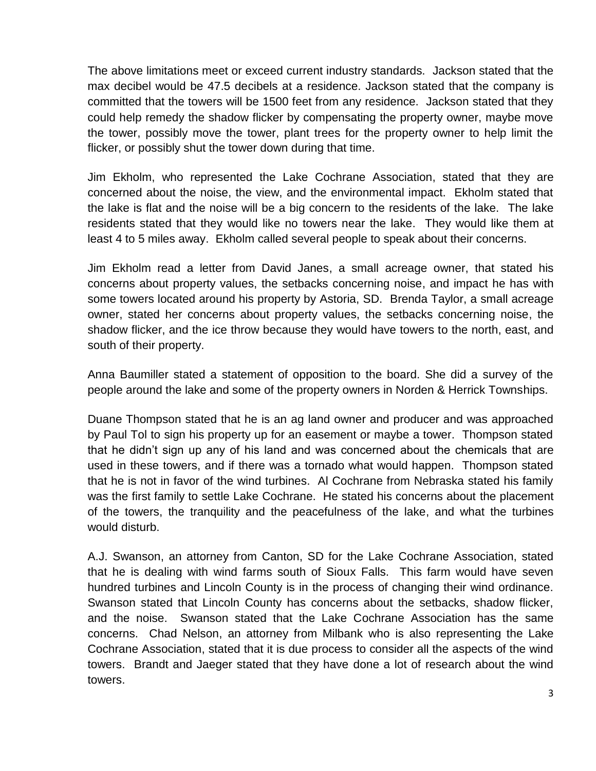The above limitations meet or exceed current industry standards. Jackson stated that the max decibel would be 47.5 decibels at a residence. Jackson stated that the company is committed that the towers will be 1500 feet from any residence. Jackson stated that they could help remedy the shadow flicker by compensating the property owner, maybe move the tower, possibly move the tower, plant trees for the property owner to help limit the flicker, or possibly shut the tower down during that time.

Jim Ekholm, who represented the Lake Cochrane Association, stated that they are concerned about the noise, the view, and the environmental impact. Ekholm stated that the lake is flat and the noise will be a big concern to the residents of the lake. The lake residents stated that they would like no towers near the lake. They would like them at least 4 to 5 miles away. Ekholm called several people to speak about their concerns.

Jim Ekholm read a letter from David Janes, a small acreage owner, that stated his concerns about property values, the setbacks concerning noise, and impact he has with some towers located around his property by Astoria, SD. Brenda Taylor, a small acreage owner, stated her concerns about property values, the setbacks concerning noise, the shadow flicker, and the ice throw because they would have towers to the north, east, and south of their property.

Anna Baumiller stated a statement of opposition to the board. She did a survey of the people around the lake and some of the property owners in Norden & Herrick Townships.

Duane Thompson stated that he is an ag land owner and producer and was approached by Paul Tol to sign his property up for an easement or maybe a tower. Thompson stated that he didn't sign up any of his land and was concerned about the chemicals that are used in these towers, and if there was a tornado what would happen. Thompson stated that he is not in favor of the wind turbines. Al Cochrane from Nebraska stated his family was the first family to settle Lake Cochrane. He stated his concerns about the placement of the towers, the tranquility and the peacefulness of the lake, and what the turbines would disturb.

A.J. Swanson, an attorney from Canton, SD for the Lake Cochrane Association, stated that he is dealing with wind farms south of Sioux Falls. This farm would have seven hundred turbines and Lincoln County is in the process of changing their wind ordinance. Swanson stated that Lincoln County has concerns about the setbacks, shadow flicker, and the noise. Swanson stated that the Lake Cochrane Association has the same concerns. Chad Nelson, an attorney from Milbank who is also representing the Lake Cochrane Association, stated that it is due process to consider all the aspects of the wind towers. Brandt and Jaeger stated that they have done a lot of research about the wind towers.